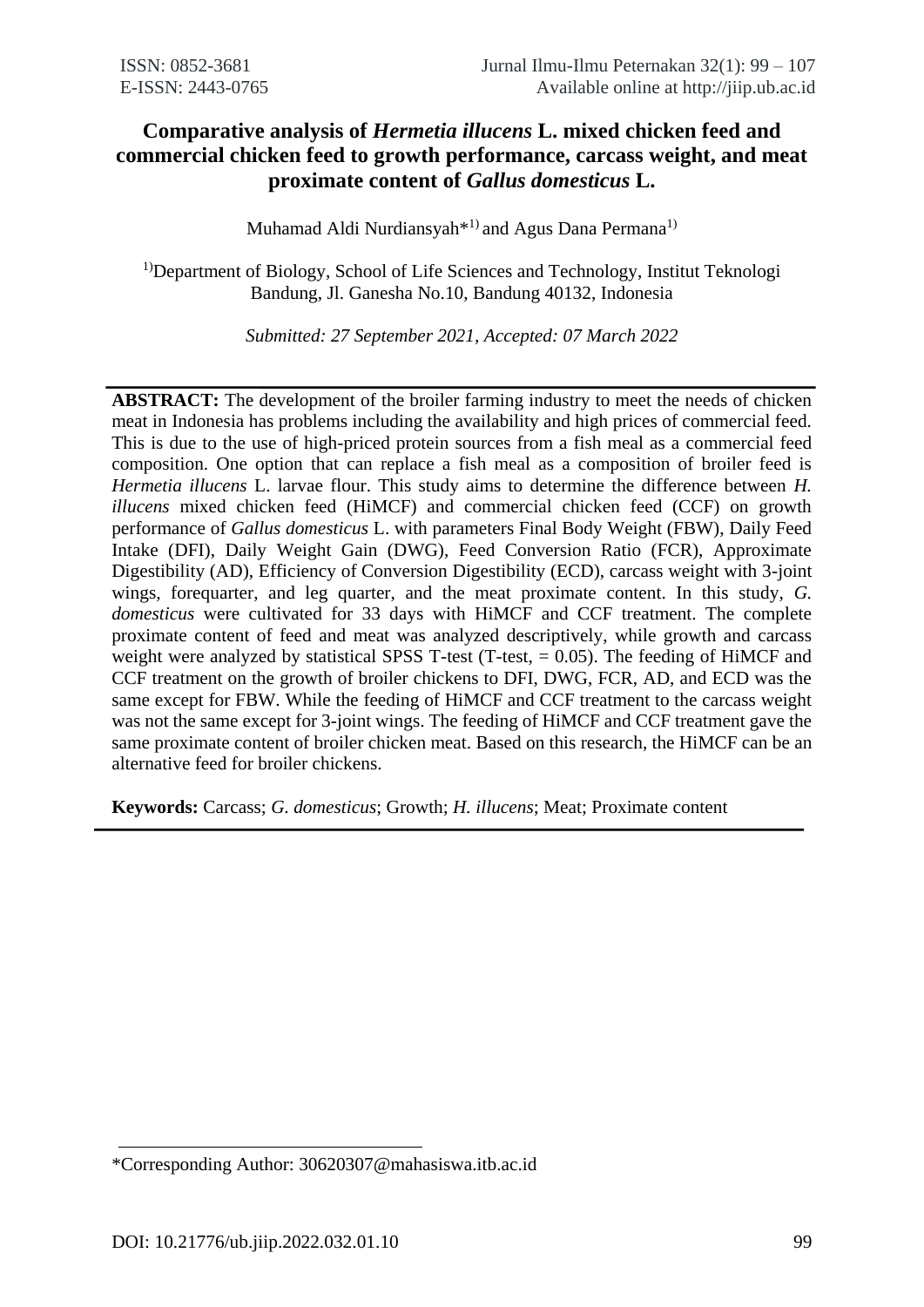# **Comparative analysis of** *Hermetia illucens* **L. mixed chicken feed and commercial chicken feed to growth performance, carcass weight, and meat proximate content of** *Gallus domesticus* **L.**

Muhamad Aldi Nurdiansyah<sup>\*1)</sup> and Agus Dana Permana<sup>1)</sup>

<sup>1)</sup>Department of Biology, School of Life Sciences and Technology, Institut Teknologi Bandung, Jl. Ganesha No.10, Bandung 40132, Indonesia

*Submitted: 27 September 2021, Accepted: 07 March 2022*

**ABSTRACT:** The development of the broiler farming industry to meet the needs of chicken meat in Indonesia has problems including the availability and high prices of commercial feed. This is due to the use of high-priced protein sources from a fish meal as a commercial feed composition. One option that can replace a fish meal as a composition of broiler feed is *Hermetia illucens* L. larvae flour. This study aims to determine the difference between *H. illucens* mixed chicken feed (HiMCF) and commercial chicken feed (CCF) on growth performance of *Gallus domesticus* L. with parameters Final Body Weight (FBW), Daily Feed Intake (DFI), Daily Weight Gain (DWG), Feed Conversion Ratio (FCR), Approximate Digestibility (AD), Efficiency of Conversion Digestibility (ECD), carcass weight with 3-joint wings, forequarter, and leg quarter, and the meat proximate content. In this study, *G. domesticus* were cultivated for 33 days with HiMCF and CCF treatment. The complete proximate content of feed and meat was analyzed descriptively, while growth and carcass weight were analyzed by statistical SPSS T-test (T-test,  $= 0.05$ ). The feeding of HiMCF and CCF treatment on the growth of broiler chickens to DFI, DWG, FCR, AD, and ECD was the same except for FBW. While the feeding of HiMCF and CCF treatment to the carcass weight was not the same except for 3-joint wings. The feeding of HiMCF and CCF treatment gave the same proximate content of broiler chicken meat. Based on this research, the HiMCF can be an alternative feed for broiler chickens.

**Keywords:** Carcass; *G. domesticus*; Growth; *H. illucens*; Meat; Proximate content

<sup>\*</sup>Corresponding Author: 30620307@mahasiswa.itb.ac.id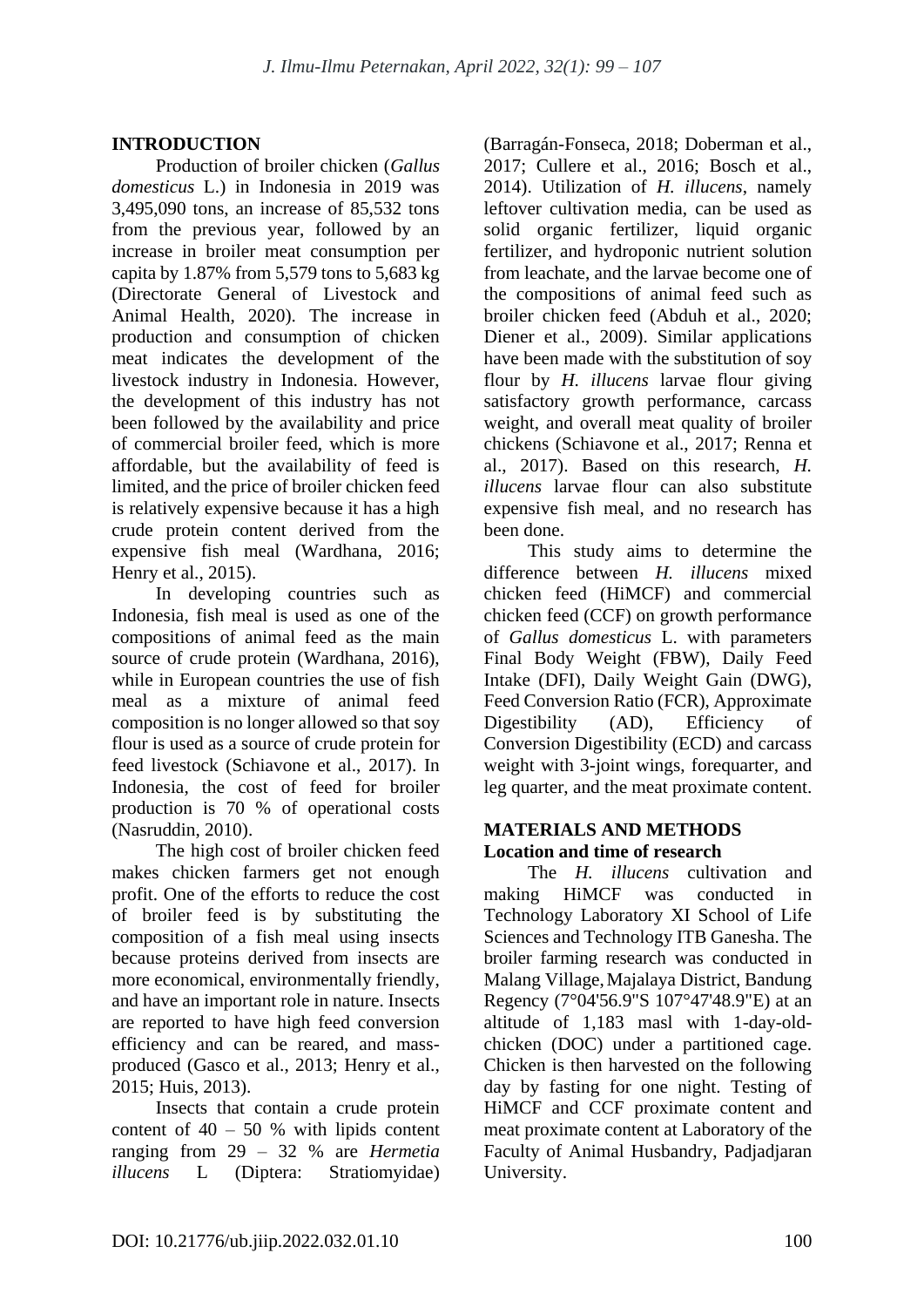# **INTRODUCTION**

Production of broiler chicken (*Gallus domesticus* L.) in Indonesia in 2019 was 3,495,090 tons, an increase of 85,532 tons from the previous year, followed by an increase in broiler meat consumption per capita by 1.87% from 5,579 tons to 5,683 kg (Directorate General of Livestock and Animal Health, 2020). The increase in production and consumption of chicken meat indicates the development of the livestock industry in Indonesia. However, the development of this industry has not been followed by the availability and price of commercial broiler feed, which is more affordable, but the availability of feed is limited, and the price of broiler chicken feed is relatively expensive because it has a high crude protein content derived from the expensive fish meal (Wardhana, 2016; Henry et al., 2015).

In developing countries such as Indonesia, fish meal is used as one of the compositions of animal feed as the main source of crude protein (Wardhana, 2016), while in European countries the use of fish meal as a mixture of animal feed composition is no longer allowed so that soy flour is used as a source of crude protein for feed livestock (Schiavone et al., 2017). In Indonesia, the cost of feed for broiler production is 70 % of operational costs (Nasruddin, 2010).

The high cost of broiler chicken feed makes chicken farmers get not enough profit. One of the efforts to reduce the cost of broiler feed is by substituting the composition of a fish meal using insects because proteins derived from insects are more economical, environmentally friendly, and have an important role in nature. Insects are reported to have high feed conversion efficiency and can be reared, and massproduced (Gasco et al., 2013; Henry et al., 2015; Huis, 2013).

Insects that contain a crude protein content of  $40 - 50$  % with lipids content ranging from 29 – 32 % are *Hermetia illucens* L (Diptera: Stratiomyidae)

(Barragán-Fonseca, 2018; Doberman et al., 2017; Cullere et al., 2016; Bosch et al., 2014). Utilization of *H. illucens*, namely leftover cultivation media, can be used as solid organic fertilizer, liquid organic fertilizer, and hydroponic nutrient solution from leachate, and the larvae become one of the compositions of animal feed such as broiler chicken feed (Abduh et al., 2020; Diener et al., 2009). Similar applications have been made with the substitution of soy flour by *H. illucens* larvae flour giving satisfactory growth performance, carcass weight, and overall meat quality of broiler chickens (Schiavone et al., 2017; Renna et al., 2017). Based on this research, *H. illucens* larvae flour can also substitute expensive fish meal, and no research has been done.

This study aims to determine the difference between *H. illucens* mixed chicken feed (HiMCF) and commercial chicken feed (CCF) on growth performance of *Gallus domesticus* L. with parameters Final Body Weight (FBW), Daily Feed Intake (DFI), Daily Weight Gain (DWG), Feed Conversion Ratio (FCR), Approximate Digestibility (AD), Efficiency of Conversion Digestibility (ECD) and carcass weight with 3-joint wings, forequarter, and leg quarter, and the meat proximate content.

#### **MATERIALS AND METHODS Location and time of research**

The *H. illucens* cultivation and making HiMCF was conducted in Technology Laboratory XI School of Life Sciences and Technology ITB Ganesha. The broiler farming research was conducted in Malang Village,Majalaya District, Bandung Regency (7°04'56.9"S 107°47'48.9"E) at an altitude of 1,183 masl with 1-day-oldchicken (DOC) under a partitioned cage. Chicken is then harvested on the following day by fasting for one night. Testing of HiMCF and CCF proximate content and meat proximate content at Laboratory of the Faculty of Animal Husbandry, Padjadjaran University.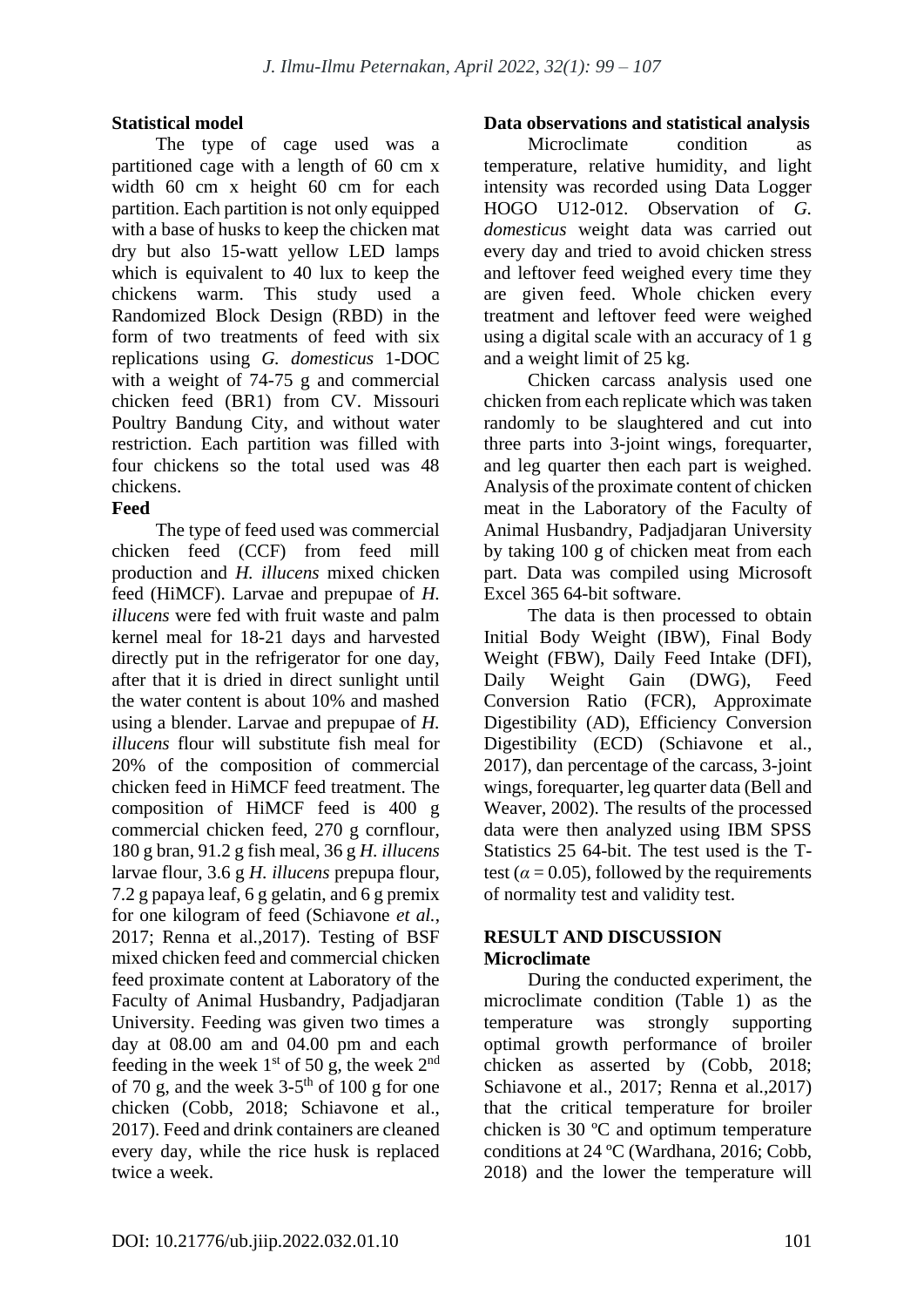#### **Statistical model**

The type of cage used was a partitioned cage with a length of 60 cm x width 60 cm x height 60 cm for each partition. Each partition is not only equipped with a base of husks to keep the chicken mat dry but also 15-watt yellow LED lamps which is equivalent to 40 lux to keep the chickens warm. This study used a Randomized Block Design (RBD) in the form of two treatments of feed with six replications using *G. domesticus* 1-DOC with a weight of 74-75 g and commercial chicken feed (BR1) from CV. Missouri Poultry Bandung City, and without water restriction. Each partition was filled with four chickens so the total used was 48 chickens.

# **Feed**

The type of feed used was commercial chicken feed (CCF) from feed mill production and *H. illucens* mixed chicken feed (HiMCF). Larvae and prepupae of *H. illucens* were fed with fruit waste and palm kernel meal for 18-21 days and harvested directly put in the refrigerator for one day, after that it is dried in direct sunlight until the water content is about 10% and mashed using a blender. Larvae and prepupae of *H. illucens* flour will substitute fish meal for 20% of the composition of commercial chicken feed in HiMCF feed treatment. The composition of HiMCF feed is 400 g commercial chicken feed, 270 g cornflour, 180 g bran, 91.2 g fish meal, 36 g *H. illucens* larvae flour, 3.6 g *H. illucens* prepupa flour, 7.2 g papaya leaf, 6 g gelatin, and 6 g premix for one kilogram of feed (Schiavone *et al.*, 2017; Renna et al.,2017). Testing of BSF mixed chicken feed and commercial chicken feed proximate content at Laboratory of the Faculty of Animal Husbandry, Padjadjaran University. Feeding was given two times a day at 08.00 am and 04.00 pm and each feeding in the week  $1<sup>st</sup>$  of 50 g, the week  $2<sup>nd</sup>$ of 70 g, and the week  $3-5<sup>th</sup>$  of 100 g for one chicken (Cobb, 2018; Schiavone et al., 2017). Feed and drink containers are cleaned every day, while the rice husk is replaced twice a week.

#### **Data observations and statistical analysis**

Microclimate condition as temperature, relative humidity, and light intensity was recorded using Data Logger HOGO U12-012. Observation of *G. domesticus* weight data was carried out every day and tried to avoid chicken stress and leftover feed weighed every time they are given feed. Whole chicken every treatment and leftover feed were weighed using a digital scale with an accuracy of 1 g and a weight limit of 25 kg.

Chicken carcass analysis used one chicken from each replicate which was taken randomly to be slaughtered and cut into three parts into 3-joint wings, forequarter, and leg quarter then each part is weighed. Analysis of the proximate content of chicken meat in the Laboratory of the Faculty of Animal Husbandry, Padjadjaran University by taking 100 g of chicken meat from each part. Data was compiled using Microsoft Excel 365 64-bit software.

The data is then processed to obtain Initial Body Weight (IBW), Final Body Weight (FBW), Daily Feed Intake (DFI), Daily Weight Gain (DWG), Feed Conversion Ratio (FCR), Approximate Digestibility (AD), Efficiency Conversion Digestibility (ECD) (Schiavone et al., 2017), dan percentage of the carcass, 3-joint wings, forequarter, leg quarter data (Bell and Weaver, 2002). The results of the processed data were then analyzed using IBM SPSS Statistics 25 64-bit. The test used is the Ttest ( $\alpha$  = 0.05), followed by the requirements of normality test and validity test.

#### **RESULT AND DISCUSSION Microclimate**

During the conducted experiment, the microclimate condition (Table 1) as the temperature was strongly supporting optimal growth performance of broiler chicken as asserted by (Cobb, 2018; Schiavone et al., 2017; Renna et al.,2017) that the critical temperature for broiler chicken is 30 ºC and optimum temperature conditions at 24 ºC (Wardhana, 2016; Cobb, 2018) and the lower the temperature will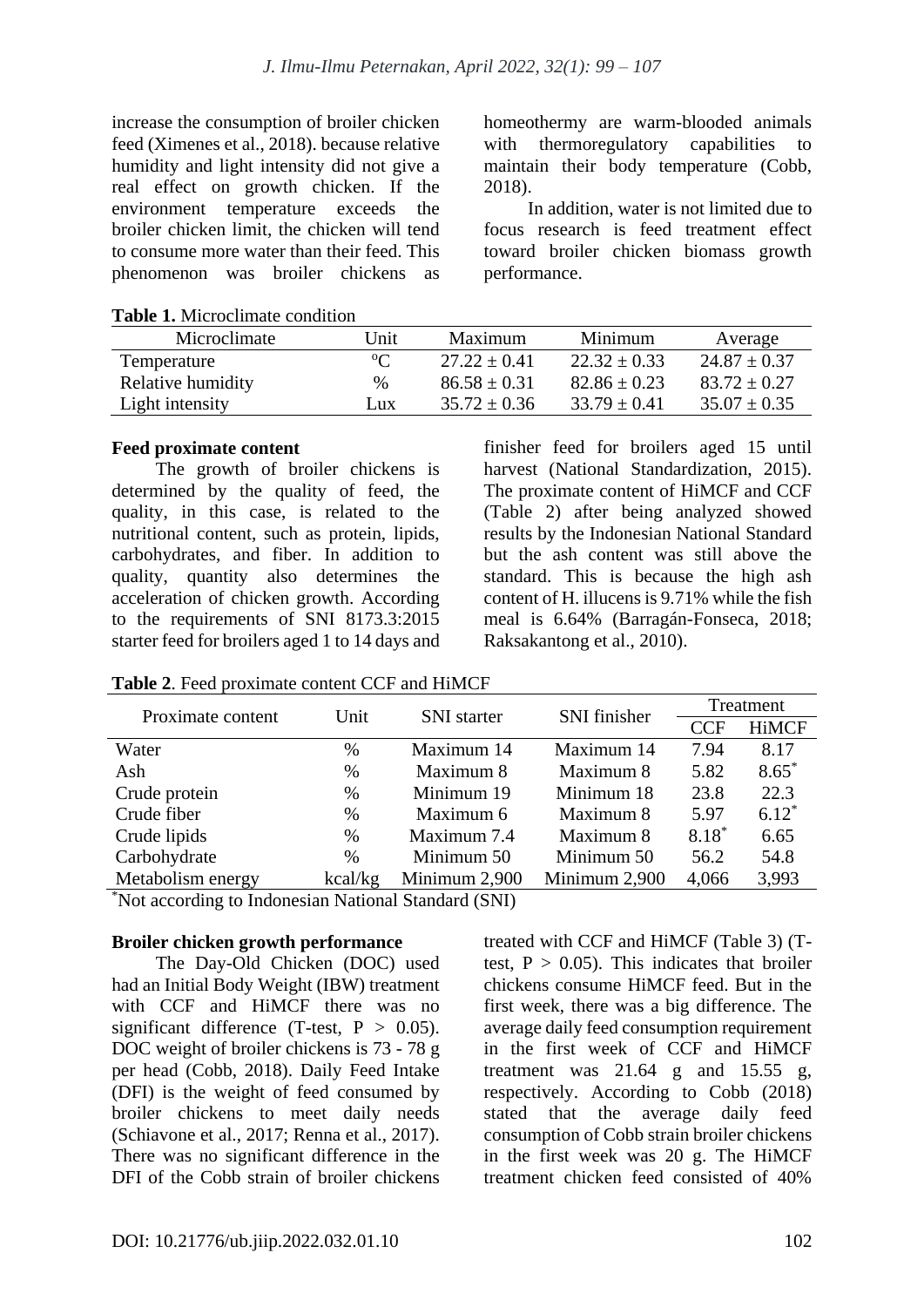increase the consumption of broiler chicken feed (Ximenes et al., 2018). because relative humidity and light intensity did not give a real effect on growth chicken. If the environment temperature exceeds the broiler chicken limit, the chicken will tend to consume more water than their feed. This phenomenon was broiler chickens as homeothermy are warm-blooded animals with thermoregulatory capabilities to maintain their body temperature (Cobb, 2018).

In addition, water is not limited due to focus research is feed treatment effect toward broiler chicken biomass growth performance.

| <b>Table 1.</b> IVIICTOCHIHAIC CONGHION |          |                  |                  |                  |  |  |
|-----------------------------------------|----------|------------------|------------------|------------------|--|--|
| Microclimate                            | Unit     | Maximum          | Minimum          | Average          |  |  |
| Temperature                             | $\Omega$ | $27.22 + 0.41$   | $22.32 \pm 0.33$ | $24.87 + 0.37$   |  |  |
| Relative humidity                       | $\%$     | $86.58 + 0.31$   | $82.86 + 0.23$   | $83.72 + 0.27$   |  |  |
| Light intensity                         | Lux.     | $35.72 \pm 0.36$ | $33.79 \pm 0.41$ | $35.07 \pm 0.35$ |  |  |

**Table 1.** Microclimate condition

#### **Feed proximate content**

The growth of broiler chickens is determined by the quality of feed, the quality, in this case, is related to the nutritional content, such as protein, lipids, carbohydrates, and fiber. In addition to quality, quantity also determines the acceleration of chicken growth. According to the requirements of SNI 8173.3:2015 starter feed for broilers aged 1 to 14 days and finisher feed for broilers aged 15 until harvest (National Standardization, 2015). The proximate content of HiMCF and CCF (Table 2) after being analyzed showed results by the Indonesian National Standard but the ash content was still above the standard. This is because the high ash content of H. illucens is 9.71% while the fish meal is 6.64% (Barragán-Fonseca, 2018; Raksakantong et al., 2010).

| Proximate content | Unit    | <b>SNI</b> starter | SNI finisher  | Treatment  |              |
|-------------------|---------|--------------------|---------------|------------|--------------|
|                   |         |                    |               | <b>CCF</b> | <b>HiMCF</b> |
| Water             | %       | Maximum 14         | Maximum 14    | 7.94       | 8.17         |
| Ash               | $\%$    | Maximum 8          | Maximum 8     | 5.82       | $8.65*$      |
| Crude protein     | $\%$    | Minimum 19         | Minimum 18    | 23.8       | 22.3         |
| Crude fiber       | $\%$    | Maximum 6          | Maximum 8     | 5.97       | $6.12*$      |
| Crude lipids      | $\%$    | Maximum 7.4        | Maximum 8     | $8.18*$    | 6.65         |
| Carbohydrate      | $\%$    | Minimum 50         | Minimum 50    | 56.2       | 54.8         |
| Metabolism energy | kcal/kg | Minimum 2,900      | Minimum 2,900 | 4,066      | 3,993        |

**Table 2**. Feed proximate content CCF and HiMCF

\*Not according to Indonesian National Standard (SNI)

#### **Broiler chicken growth performance**

The Day-Old Chicken (DOC) used had an Initial Body Weight (IBW) treatment with CCF and HiMCF there was no significant difference (T-test,  $P > 0.05$ ). DOC weight of broiler chickens is 73 - 78 g per head (Cobb, 2018). Daily Feed Intake (DFI) is the weight of feed consumed by broiler chickens to meet daily needs (Schiavone et al., 2017; Renna et al., 2017). There was no significant difference in the DFI of the Cobb strain of broiler chickens treated with CCF and HiMCF (Table 3) (Ttest,  $P > 0.05$ ). This indicates that broiler chickens consume HiMCF feed. But in the first week, there was a big difference. The average daily feed consumption requirement in the first week of CCF and HiMCF treatment was  $21.64$  g and  $15.55$  g, respectively. According to Cobb (2018) stated that the average daily feed consumption of Cobb strain broiler chickens in the first week was 20 g. The HiMCF treatment chicken feed consisted of 40%

 $F$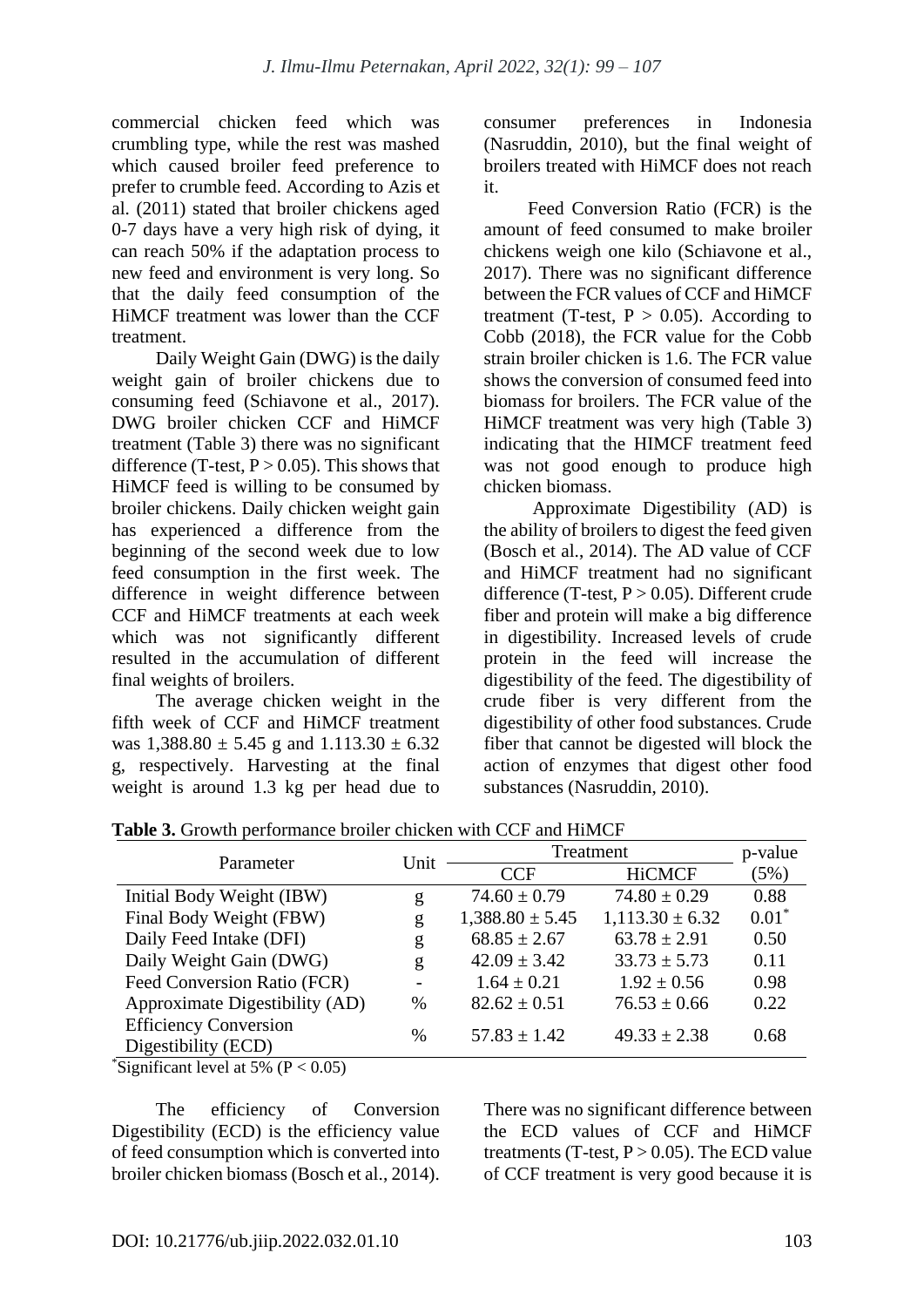commercial chicken feed which was crumbling type, while the rest was mashed which caused broiler feed preference to prefer to crumble feed. According to Azis et al. (2011) stated that broiler chickens aged 0-7 days have a very high risk of dying, it can reach 50% if the adaptation process to new feed and environment is very long. So that the daily feed consumption of the HiMCF treatment was lower than the CCF treatment.

Daily Weight Gain (DWG) is the daily weight gain of broiler chickens due to consuming feed (Schiavone et al., 2017). DWG broiler chicken CCF and HiMCF treatment (Table 3) there was no significant difference (T-test,  $P > 0.05$ ). This shows that HiMCF feed is willing to be consumed by broiler chickens. Daily chicken weight gain has experienced a difference from the beginning of the second week due to low feed consumption in the first week. The difference in weight difference between CCF and HiMCF treatments at each week which was not significantly different resulted in the accumulation of different final weights of broilers.

The average chicken weight in the fifth week of CCF and HiMCF treatment was  $1,388.80 \pm 5.45$  g and  $1.113.30 \pm 6.32$ g, respectively. Harvesting at the final weight is around 1.3 kg per head due to consumer preferences in Indonesia (Nasruddin, 2010), but the final weight of broilers treated with HiMCF does not reach it.

Feed Conversion Ratio (FCR) is the amount of feed consumed to make broiler chickens weigh one kilo (Schiavone et al., 2017). There was no significant difference between the FCR values of CCF and HiMCF treatment (T-test,  $P > 0.05$ ). According to Cobb (2018), the FCR value for the Cobb strain broiler chicken is 1.6. The FCR value shows the conversion of consumed feed into biomass for broilers. The FCR value of the HiMCF treatment was very high (Table 3) indicating that the HIMCF treatment feed was not good enough to produce high chicken biomass.

Approximate Digestibility (AD) is the ability of broilers to digest the feed given (Bosch et al., 2014). The AD value of CCF and HiMCF treatment had no significant difference (T-test,  $P > 0.05$ ). Different crude fiber and protein will make a big difference in digestibility. Increased levels of crude protein in the feed will increase the digestibility of the feed. The digestibility of crude fiber is very different from the digestibility of other food substances. Crude fiber that cannot be digested will block the action of enzymes that digest other food substances (Nasruddin, 2010).

|                                                     |               | Treatment           | p-value             |         |
|-----------------------------------------------------|---------------|---------------------|---------------------|---------|
| Parameter                                           | Unit          | <b>CCF</b>          | <b>HiCMCF</b>       | (5%)    |
| Initial Body Weight (IBW)                           | g             | $74.60 \pm 0.79$    | $74.80 \pm 0.29$    | 0.88    |
| Final Body Weight (FBW)                             | g             | $1,388.80 \pm 5.45$ | $1,113.30 \pm 6.32$ | $0.01*$ |
| Daily Feed Intake (DFI)                             | g             | $68.85 \pm 2.67$    | $63.78 \pm 2.91$    | 0.50    |
| Daily Weight Gain (DWG)                             | g             | $42.09 \pm 3.42$    | $33.73 \pm 5.73$    | 0.11    |
| Feed Conversion Ratio (FCR)                         |               | $1.64 \pm 0.21$     | $1.92 \pm 0.56$     | 0.98    |
| Approximate Digestibility (AD)                      | $\frac{0}{0}$ | $82.62 \pm 0.51$    | $76.53 \pm 0.66$    | 0.22    |
| <b>Efficiency Conversion</b><br>Digestibility (ECD) | $\frac{0}{0}$ | $57.83 \pm 1.42$    | $49.33 \pm 2.38$    | 0.68    |

**Table 3.** Growth performance broiler chicken with CCF and HiMCF

\*Significant level at 5% ( $P < 0.05$ )

The efficiency of Conversion Digestibility (ECD) is the efficiency value of feed consumption which is converted into broiler chicken biomass (Bosch et al., 2014).

There was no significant difference between the ECD values of CCF and HiMCF treatments (T-test,  $P > 0.05$ ). The ECD value of CCF treatment is very good because it is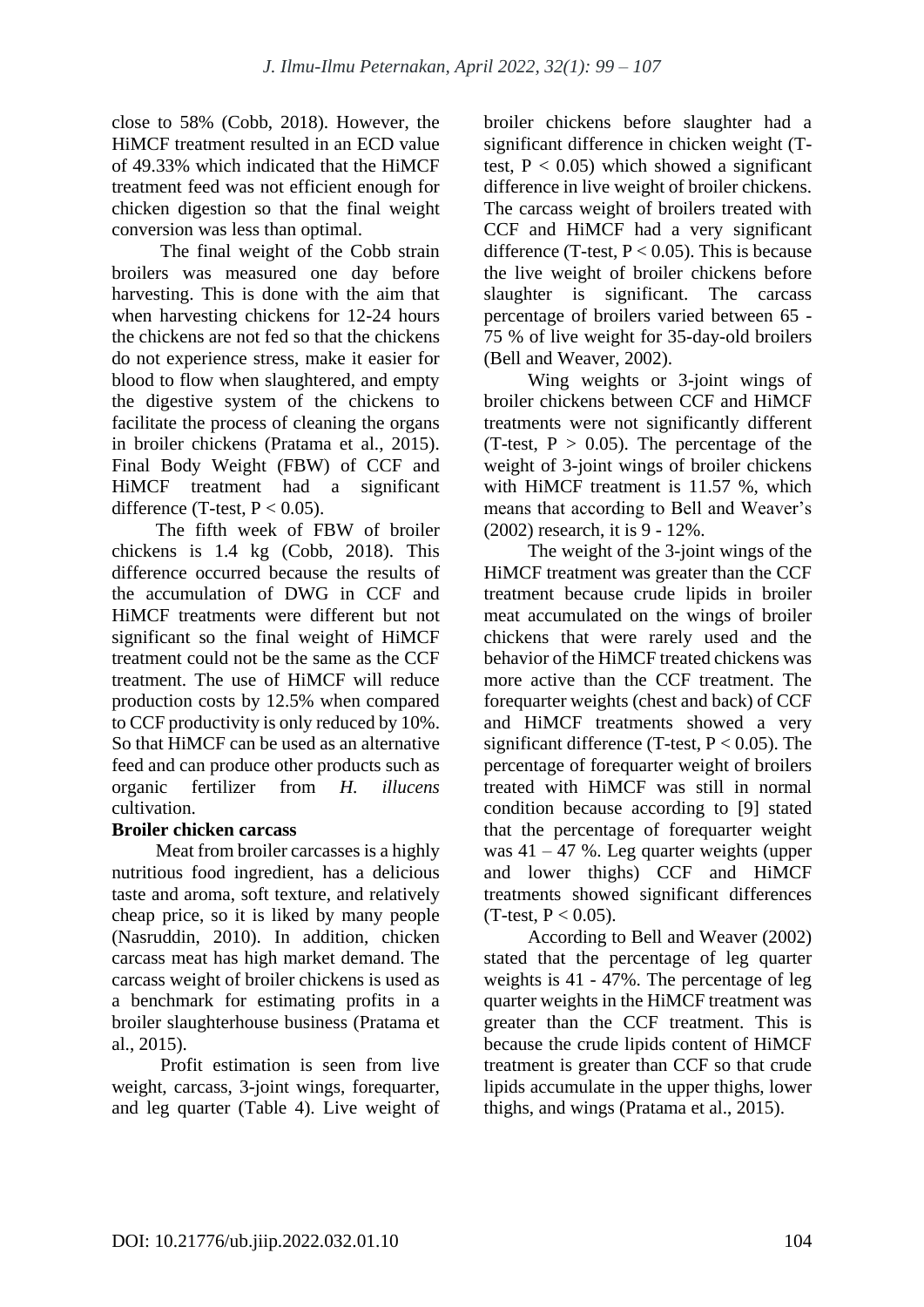close to 58% (Cobb, 2018). However, the HiMCF treatment resulted in an ECD value of 49.33% which indicated that the HiMCF treatment feed was not efficient enough for chicken digestion so that the final weight conversion was less than optimal.

The final weight of the Cobb strain broilers was measured one day before harvesting. This is done with the aim that when harvesting chickens for 12-24 hours the chickens are not fed so that the chickens do not experience stress, make it easier for blood to flow when slaughtered, and empty the digestive system of the chickens to facilitate the process of cleaning the organs in broiler chickens (Pratama et al., 2015). Final Body Weight (FBW) of CCF and HiMCF treatment had a significant difference (T-test,  $P < 0.05$ ).

The fifth week of FBW of broiler chickens is 1.4 kg (Cobb, 2018). This difference occurred because the results of the accumulation of DWG in CCF and HiMCF treatments were different but not significant so the final weight of HiMCF treatment could not be the same as the CCF treatment. The use of HiMCF will reduce production costs by 12.5% when compared to CCF productivity is only reduced by 10%. So that HiMCF can be used as an alternative feed and can produce other products such as organic fertilizer from *H. illucens*  cultivation.

# **Broiler chicken carcass**

Meat from broiler carcasses is a highly nutritious food ingredient, has a delicious taste and aroma, soft texture, and relatively cheap price, so it is liked by many people (Nasruddin, 2010). In addition, chicken carcass meat has high market demand. The carcass weight of broiler chickens is used as a benchmark for estimating profits in a broiler slaughterhouse business (Pratama et al., 2015).

Profit estimation is seen from live weight, carcass, 3-joint wings, forequarter, and leg quarter (Table 4). Live weight of broiler chickens before slaughter had a significant difference in chicken weight (Ttest,  $P < 0.05$ ) which showed a significant difference in live weight of broiler chickens. The carcass weight of broilers treated with CCF and HiMCF had a very significant difference (T-test,  $P < 0.05$ ). This is because the live weight of broiler chickens before slaughter is significant. The carcass percentage of broilers varied between 65 - 75 % of live weight for 35-day-old broilers (Bell and Weaver, 2002).

Wing weights or 3-joint wings of broiler chickens between CCF and HiMCF treatments were not significantly different (T-test,  $P > 0.05$ ). The percentage of the weight of 3-joint wings of broiler chickens with HiMCF treatment is 11.57 %, which means that according to Bell and Weaver's (2002) research, it is 9 - 12%.

The weight of the 3-joint wings of the HiMCF treatment was greater than the CCF treatment because crude lipids in broiler meat accumulated on the wings of broiler chickens that were rarely used and the behavior of the HiMCF treated chickens was more active than the CCF treatment. The forequarter weights (chest and back) of CCF and HiMCF treatments showed a very significant difference (T-test,  $P < 0.05$ ). The percentage of forequarter weight of broilers treated with HiMCF was still in normal condition because according to [9] stated that the percentage of forequarter weight was  $41 - 47$  %. Leg quarter weights (upper and lower thighs) CCF and HiMCF treatments showed significant differences  $(T-test, P < 0.05)$ .

According to Bell and Weaver (2002) stated that the percentage of leg quarter weights is 41 - 47%. The percentage of leg quarter weights in the HiMCF treatment was greater than the CCF treatment. This is because the crude lipids content of HiMCF treatment is greater than CCF so that crude lipids accumulate in the upper thighs, lower thighs, and wings (Pratama et al., 2015).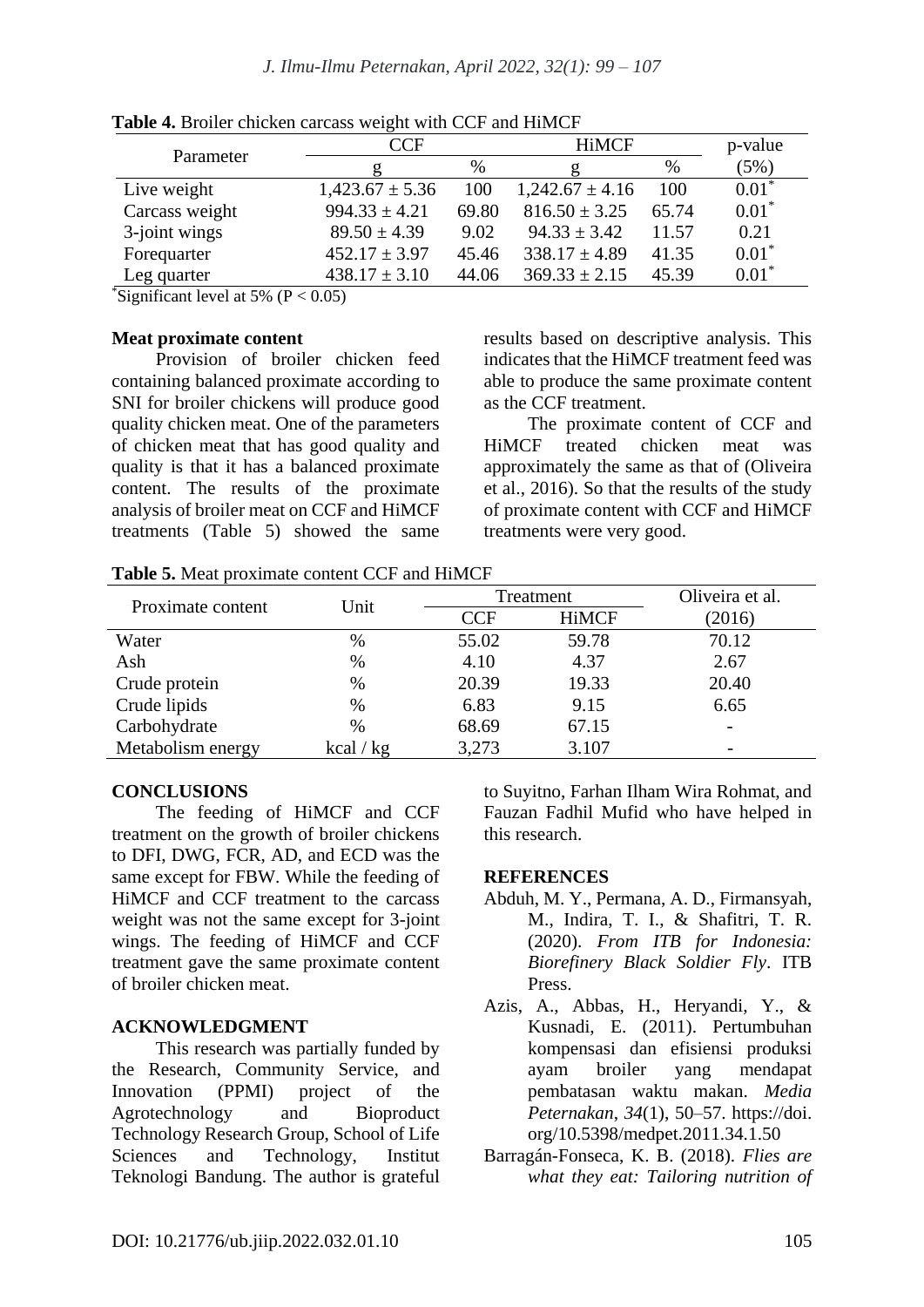|                | CCF                 |       | <b>HiMCF</b>        |       | p-value |
|----------------|---------------------|-------|---------------------|-------|---------|
| Parameter      |                     | %     |                     | $\%$  | (5%)    |
| Live weight    | $1,423.67 \pm 5.36$ | 100   | $1,242.67 \pm 4.16$ | 100   | $0.01*$ |
| Carcass weight | $994.33 \pm 4.21$   | 69.80 | $816.50 \pm 3.25$   | 65.74 | $0.01*$ |
| 3-joint wings  | $89.50 \pm 4.39$    | 9.02  | $94.33 \pm 3.42$    | 11.57 | 0.21    |
| Forequarter    | $452.17 \pm 3.97$   | 45.46 | $338.17 \pm 4.89$   | 41.35 | $0.01*$ |
| Leg quarter    | $438.17 \pm 3.10$   | 44.06 | $369.33 \pm 2.15$   | 45.39 | $0.01*$ |

**Table 4.** Broiler chicken carcass weight with CCF and HiMCF

Significant level at 5% ( $P < 0.05$ )

#### **Meat proximate content**

Provision of broiler chicken feed containing balanced proximate according to SNI for broiler chickens will produce good quality chicken meat. One of the parameters of chicken meat that has good quality and quality is that it has a balanced proximate content. The results of the proximate analysis of broiler meat on CCF and HiMCF treatments (Table 5) showed the same results based on descriptive analysis. This indicates that the HiMCF treatment feed was able to produce the same proximate content as the CCF treatment.

The proximate content of CCF and HiMCF treated chicken meat was approximately the same as that of (Oliveira et al., 2016). So that the results of the study of proximate content with CCF and HiMCF treatments were very good.

**Table 5.** Meat proximate content CCF and HiMCF

| Proximate content | Unit      | Treatment  |              | Oliveira et al. |
|-------------------|-----------|------------|--------------|-----------------|
|                   |           | <b>CCF</b> | <b>HiMCF</b> | (2016)          |
| Water             | $\%$      | 55.02      | 59.78        | 70.12           |
| Ash               | %         | 4.10       | 4.37         | 2.67            |
| Crude protein     | $\%$      | 20.39      | 19.33        | 20.40           |
| Crude lipids      | $\%$      | 6.83       | 9.15         | 6.65            |
| Carbohydrate      | $\%$      | 68.69      | 67.15        | $\qquad \qquad$ |
| Metabolism energy | kcal / kg | 3,273      | 3.107        |                 |

# **CONCLUSIONS**

The feeding of HiMCF and CCF treatment on the growth of broiler chickens to DFI, DWG, FCR, AD, and ECD was the same except for FBW. While the feeding of HiMCF and CCF treatment to the carcass weight was not the same except for 3-joint wings. The feeding of HiMCF and CCF treatment gave the same proximate content of broiler chicken meat.

# **ACKNOWLEDGMENT**

This research was partially funded by the Research, Community Service, and Innovation (PPMI) project of the Agrotechnology and Bioproduct Technology Research Group, School of Life Sciences and Technology, Institut Teknologi Bandung. The author is grateful to Suyitno, Farhan Ilham Wira Rohmat, and Fauzan Fadhil Mufid who have helped in this research.

# **REFERENCES**

- Abduh, M. Y., Permana, A. D., Firmansyah, M., Indira, T. I., & Shafitri, T. R. (2020). *From ITB for Indonesia: Biorefinery Black Soldier Fly*. ITB Press.
- Azis, A., Abbas, H., Heryandi, Y., & Kusnadi, E. (2011). Pertumbuhan kompensasi dan efisiensi produksi ayam broiler yang mendapat pembatasan waktu makan. *Media Peternakan*, *34*(1), 50–57. https://doi. org/10.5398/medpet.2011.34.1.50
- Barragán-Fonseca, K. B. (2018). *Flies are what they eat: Tailoring nutrition of*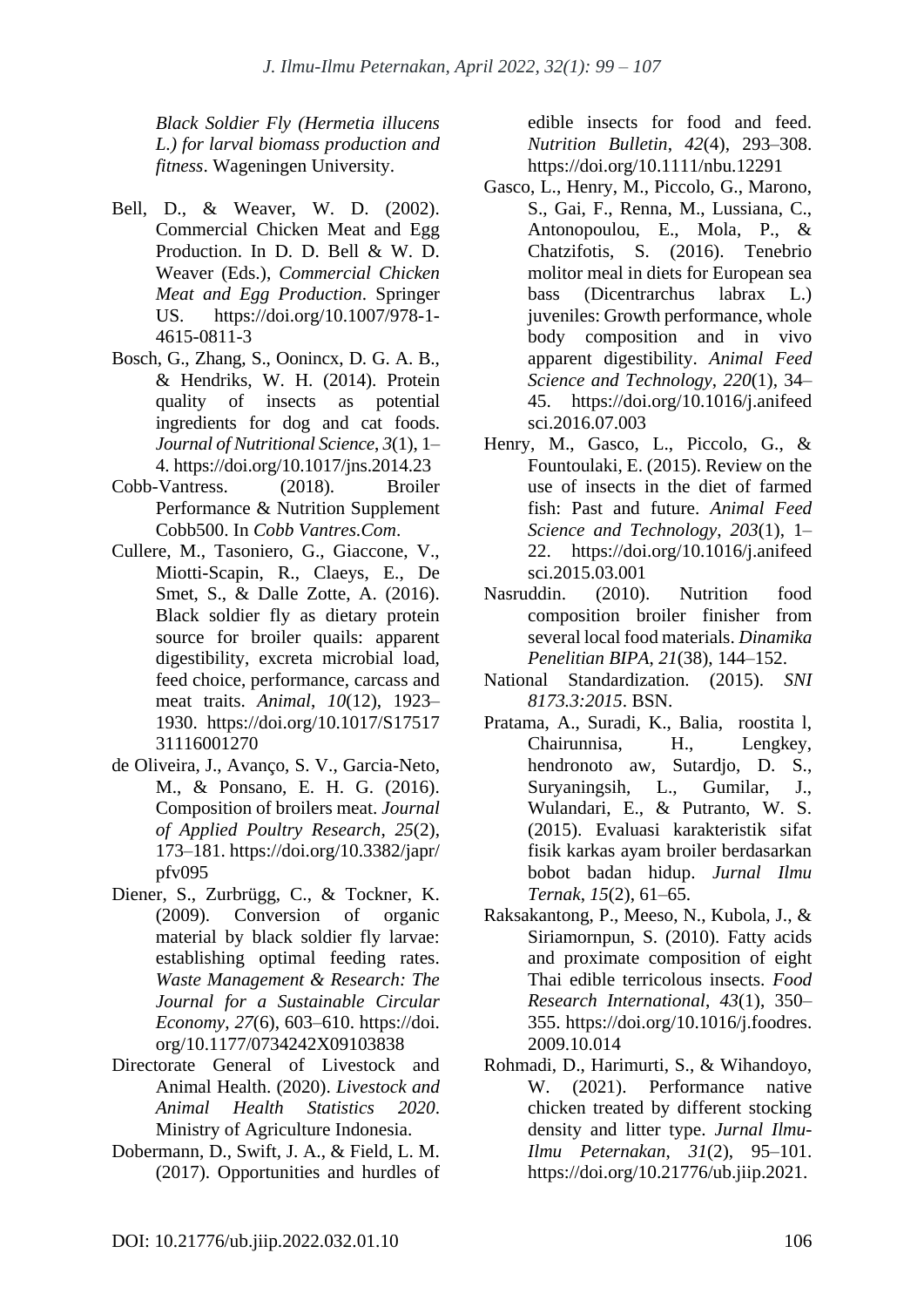*Black Soldier Fly (Hermetia illucens L.) for larval biomass production and fitness*. Wageningen University.

- Bell, D., & Weaver, W. D. (2002). Commercial Chicken Meat and Egg Production. In D. D. Bell & W. D. Weaver (Eds.), *Commercial Chicken Meat and Egg Production*. Springer US. https://doi.org/10.1007/978-1- 4615-0811-3
- Bosch, G., Zhang, S., Oonincx, D. G. A. B., & Hendriks, W. H. (2014). Protein quality of insects as potential ingredients for dog and cat foods. *Journal of Nutritional Science*, *3*(1), 1– 4. https://doi.org/10.1017/jns.2014.23
- Cobb-Vantress. (2018). Broiler Performance & Nutrition Supplement Cobb500. In *Cobb Vantres.Com*.
- Cullere, M., Tasoniero, G., Giaccone, V., Miotti-Scapin, R., Claeys, E., De Smet, S., & Dalle Zotte, A. (2016). Black soldier fly as dietary protein source for broiler quails: apparent digestibility, excreta microbial load, feed choice, performance, carcass and meat traits. *Animal*, *10*(12), 1923– 1930. https://doi.org/10.1017/S17517 31116001270
- de Oliveira, J., Avanço, S. V., Garcia-Neto, M., & Ponsano, E. H. G. (2016). Composition of broilers meat. *Journal of Applied Poultry Research*, *25*(2), 173–181. https://doi.org/10.3382/japr/ pfv095
- Diener, S., Zurbrügg, C., & Tockner, K. (2009). Conversion of organic material by black soldier fly larvae: establishing optimal feeding rates. *Waste Management & Research: The Journal for a Sustainable Circular Economy*, *27*(6), 603–610. https://doi. org/10.1177/0734242X09103838
- Directorate General of Livestock and Animal Health. (2020). *Livestock and Animal Health Statistics 2020*. Ministry of Agriculture Indonesia.
- Dobermann, D., Swift, J. A., & Field, L. M. (2017). Opportunities and hurdles of

edible insects for food and feed. *Nutrition Bulletin*, *42*(4), 293–308. https://doi.org/10.1111/nbu.12291

- Gasco, L., Henry, M., Piccolo, G., Marono, S., Gai, F., Renna, M., Lussiana, C., Antonopoulou, E., Mola, P., & Chatzifotis, S. (2016). Tenebrio molitor meal in diets for European sea bass (Dicentrarchus labrax L.) juveniles: Growth performance, whole body composition and in vivo apparent digestibility. *Animal Feed Science and Technology*, *220*(1), 34– 45. https://doi.org/10.1016/j.anifeed sci.2016.07.003
- Henry, M., Gasco, L., Piccolo, G., & Fountoulaki, E. (2015). Review on the use of insects in the diet of farmed fish: Past and future. *Animal Feed Science and Technology*, *203*(1), 1– 22. https://doi.org/10.1016/j.anifeed sci.2015.03.001
- Nasruddin. (2010). Nutrition food composition broiler finisher from several local food materials. *Dinamika Penelitian BIPA*, *21*(38), 144–152.
- National Standardization. (2015). *SNI 8173.3:2015*. BSN.
- Pratama, A., Suradi, K., Balia, roostita l, Chairunnisa, H., Lengkey, hendronoto aw, Sutardjo, D. S., Suryaningsih, L., Gumilar, J., Wulandari, E., & Putranto, W. S. (2015). Evaluasi karakteristik sifat fisik karkas ayam broiler berdasarkan bobot badan hidup. *Jurnal Ilmu Ternak*, *15*(2), 61–65.
- Raksakantong, P., Meeso, N., Kubola, J., & Siriamornpun, S. (2010). Fatty acids and proximate composition of eight Thai edible terricolous insects. *Food Research International*, *43*(1), 350– 355. https://doi.org/10.1016/j.foodres. 2009.10.014
- Rohmadi, D., Harimurti, S., & Wihandoyo, W. (2021). Performance native chicken treated by different stocking density and litter type. *Jurnal Ilmu-Ilmu Peternakan*, *31*(2), 95–101. https://doi.org/10.21776/ub.jiip.2021.